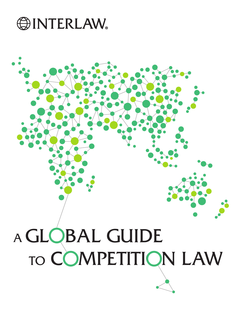

# GLOBAL GUIDE A

# TO COMPETITION LAW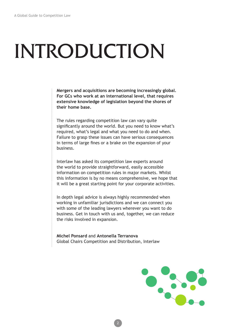# INTRODUCTION

**Mergers and acquisitions are becoming increasingly global. For GCs who work at an international level, that requires extensive knowledge of legislation beyond the shores of their home base.**

The rules regarding competition law can vary quite signifcantly around the world. But you need to know what's required, what's legal and what you need to do and when. Failure to grasp these issues can have serious consequences in terms of large fnes or a brake on the expansion of your business.

Interlaw has asked its competition law experts around the world to provide straightforward, easily accessible information on competition rules in major markets. Whilst this information is by no means comprehensive, we hope that it will be a great starting point for your corporate activities.

In depth legal advice is always highly recommended when working in unfamiliar jurisdictions and we can connect you with some of the leading lawyers wherever you want to do business. Get in touch with us and, together, we can reduce the risks involved in expansion.

**Michel Ponsard** and **Antonella Terranova** Global Chairs Competition and Distribution, Interlaw

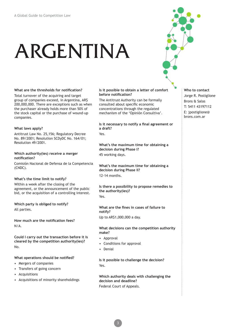# ARGENTINA

### **What are the thresholds for notifcation?**

Total turnover of the acquiring and target group of companies exceed, in Argentina, AR\$ 200,000,000. There are exceptions such as when the purchaser already holds more than 50% of the stock capital or the purchase of wound-up companies.

### **What laws apply?**

Antitrust Law No. 25,156; Regulatory Decree No. 89/2001; Resolution SCDyDC No. 164/01; Resolution 49/2001.

### **Which authority(ies) receive a merger notifcation?**

Comisión Nacional de Defensa de la Competencia (CNDC).

### **What's the time limit to notify?**

Within a week after the closing of the agreement, or the announcement of the public bid, or the acquisition of a controlling interest.

**Which party is obliged to notify?** All parties.

**How much are the notifcation fees?** N/A.

**Could I carry out the transaction before it is cleared by the competition authority(ies)?** No.

### **What operations should be notifed?**

- Mergers of companies
- Transfers of going concern
- Acquisitions
- Acquisitions of minority shareholdings

### **Is it possible to obtain a letter of comfort before notifcation?**

The Antitrust Authority can be formally consulted about specifc economic concentrations through the regulated mechanism of the 'Opinión Consultiva'.

**Is it necessary to notify a fnal agreement or a draft?**

Yes.

**What's the maximum time for obtaining a decision during Phase I?** 45 working days.

**What's the maximum time for obtaining a decision during Phase II?**

12-14 months.

**Is there a possibility to propose remedies to the authority(ies)?** Yes.

**What are the fnes in cases of failure to notify?**

### Up to AR\$1,000,000 a day.

### **What decisions can the competition authority make?**

- Approval
- Conditions for approval
- **Denial**

**Is it possible to challenge the decision?**  Yes.

**Which authority deals with challenging the decision and deadline?** Federal Court of Appeals.

**Who to contact** Jorge R. Postiglione Brons & Salas T: 5411 43197112 E: jpostiglione@ brons.com.ar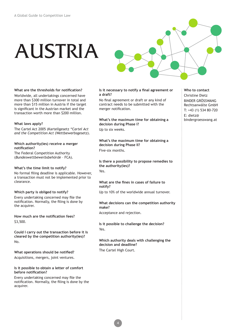# AUSTRIA



### **What are the thresholds for notifcation?**

Worldwide, all undertakings concerned have more than \$300 million turnover in total and more than \$15 million in Austria if the target is signifcant in the Austrian market and the transaction worth more than \$200 million.

### **What laws apply?**

The Cartel Act 2005 (Kartellgesetz *"Cartel Act and the Competition Act* (Wettbewerbsgesetz).

### **Which authority(ies) receive a merger notifcation?**

The Federal Competition Authority (*Bundeswettbewerbsbehörde* – FCA).

### **What's the time limit to notify?**

No formal fling deadline is applicable. However, a transaction must not be implemented prior to clearance.

### **Which party is obliged to notify?**

Every undertaking concerned may fle the notifcation. Normally, the fling is done by the acquirer.

**How much are the notifcation fees?** \$3,500.

**Could I carry out the transaction before it is cleared by the competition authority(ies)?** No.

**What operations should be notifed?** Acquisitions, mergers, joint ventures.

### **Is it possible to obtain a letter of comfort before notifcation?**

Every undertaking concerned may fle the notifcation. Normally, the fling is done by the acquirer.

### **Is it necessary to notify a fnal agreement or a draft?**

No fnal agreement or draft or any kind of contract needs to be submitted with the merger notifcation.

**What's the maximum time for obtaining a decision during Phase I?** Up to six weeks.

**What's the maximum time for obtaining a decision during Phase II?** Five-six months.

**Is there a possibility to propose remedies to the authority(ies)?**

Yes.

### **What are the fnes in cases of failure to notify?**

Up to 10% of the worldwide annual turnover.

### **What decisions can the competition authority make?**

Acceptance and rejection.

**Is it possible to challenge the decision?**  Yes.

**Which authority deals with challenging the decision and deadline?** The Cartel High Court.

**Who to contact** Christine Dietz BINDER GRÖSSWANG Rechtsanwälte GmbH T: +43 (1) 534 80-720 E: dietz@ bindergroesswang.at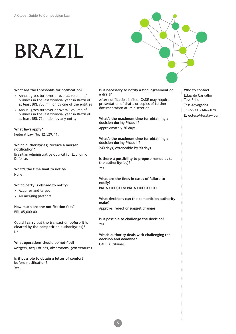## BRAZIL



### **What are the thresholds for notifcation?**

- Annual gross turnover or overall volume of business in the last fnancial year in Brazil of at least BRL 750 million by one of the entities
- Annual gross turnover or overall volume of business in the last fnancial year in Brazil of at least BRL 75 million by any entity

### **What laws apply?**

Federal Law No. 12,529/11.

### **Which authority(ies) receive a merger notifcation?**

Brazilian Administrative Council for Economic Defense.

**What's the time limit to notify?** None.

### **Which party is obliged to notify?**

- Acquirer and target
- All merging partners

**How much are the notifcation fees?** BRL 85,000.00.

**Could I carry out the transaction before it is cleared by the competition authority(ies)?** No.

**What operations should be notifed?** Mergers, acquisitions, absorptions, join ventures.

**Is it possible to obtain a letter of comfort before notifcation?** Yes.

### **Is it necessary to notify a fnal agreement or a draft?**

After notifcation is fled, CADE may require presentation of drafts or copies of further documentation at its discretion.

**What's the maximum time for obtaining a decision during Phase I?** Approximately 30 days.

**What's the maximum time for obtaining a decision during Phase II?** 240 days, extendable by 90 days.

**Is there a possibility to propose remedies to the authority(ies)?** Yes.

**What are the fnes in cases of failure to notify?** BRL 60.000,00 to BRL 60.000.000,00.

### **What decisions can the competition authority make?**

Approve, reject or suggest changes.

5

**Is it possible to challenge the decision?**  Yes.

**Which authority deals with challenging the decision and deadline?** CADE's Tribunal.

**Who to contact** Eduardo Carvalho Tess Filho Tess Advogados T: +55 11 2146-6028 E: ectess@tesslaw.com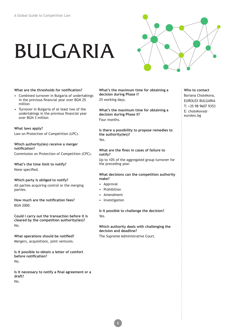# BULGARIA



### **What are the thresholds for notifcation?**

- Combined turnover in Bulgaria of undertakings in the previous fnancial year over BGN 25 million
- Turnover in Bulgaria of at least two of the undertakings in the previous fnancial year over BGN 3 million

### **What laws apply?**

Law on Protection of Competition (LPC).

### **Which authority(ies) receive a merger notifcation?**

Commission on Protection of Competition (CPC).

### **What's the time limit to notify?** None specifed.

**Which party is obliged to notify?**

All parties acquiring control or the merging parties.

**How much are the notifcation fees?** BGN 2000.

**Could I carry out the transaction before it is cleared by the competition authority(ies)?** No.

**What operations should be notifed?** Mergers, acquisitions, joint ventures.

**Is it possible to obtain a letter of comfort before notifcation?** No.

**Is it necessary to notify a fnal agreement or a draft?** No.

**What's the maximum time for obtaining a decision during Phase I?** 25 working days.

**What's the maximum time for obtaining a decision during Phase II?** Four months.

**Is there a possibility to propose remedies to the authority(ies)?** Yes.

### **What are the fnes in cases of failure to notify?**

Up to 10% of the aggregated group turnover for the preceding year.

### **What decisions can the competition authority make?**

- Approval
- **Prohibition**
- Amendment
- **Investigation**

**Is it possible to challenge the decision?**  Yes.

### **Which authority deals with challenging the decision and deadline?**

The Supreme Administrative Court.

**Who to contact** Boriana Chotekova, EUROLEX BULGARIA T: +35 98 9607 9353 E: chotekova@ eurolex.bg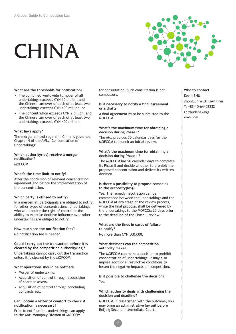# CHINA



### **What are the thresholds for notifcation?**

- The combined worldwide turnover of all undertakings exceeds CYN 10 billion, and the Chinese turnover of each of at least two undertakings exceeds CYN 400 million; or
- The concentration exceeds CYN 2 billion, and the Chinese turnover of each of at least two undertakings exceeds CYN 400 million.

### **What laws apply?**

The merger control regime in China is governed Chapter 4 of the AML, 'Concentration of Undertakings'.

### **Which authority(ies) receive a merger notifcation?** MOFCOM

### **What's the time limit to notify?**

After the conclusion of relevant concentration agreement and before the implementation of the concentration.

### **Which party is obliged to notify?**

In a merger, all participants are obliged to notify; for other types of concentrations, undertakings who will acquire the right of control or the ability to exercise decisive infuence over other undertakings are obliged to notify.

### **How much are the notifcation fees?**

No notifcation fee is needed.

### **Could I carry out the transaction before it is cleared by the competition authority(ies)?**

Undertakings cannot carry out the transaction unless it is cleared by the MOFCOM.

### **What operations should be notifed?**

- Merger of undertaking.
- Acquisition of control through acquisition of share or assets.
- Acquisition of control through concluding contracts etc.

### **Can I obtain a letter of comfort to check if notifcation is necessary?**

Prior to notifcation, undertakings can apply to the Anti-Monopoly Division of MOFCOM

for consultation. Such consultation is not compulsory.

### **Is it necessary to notify a fnal agreement or a draft?**

A fnal agreement must be submitted to the MOFCOM.

### **What's the maximum time for obtaining a decision during Phase I?**

The AML provides 30 calendar days for the MOFCOM to launch an initial review.

### **What's the maximum time for obtaining a decision during Phase II?**

The MOFCOM has 90 calendar days to complete its Phase II and decide whether to prohibit the proposed concentration and deliver its written decision.

### **Is there a possibility to propose remedies to the authority(ies)?**

Yes. The remedy negotiation can be commenced between the undertakings and the MOFCOM at any stage of the review process, while the final proposal shall be delivered by the undertakings to the MOFCOM 20 days prior to the deadline of the Phase II review.

### **What are the fnes in cases of failure to notify?**

No more than CYN 500,000.

### **What decisions can the competition authority make?**

The MOFCOM can make a decision to prohibit concentration of undertakings. It may also impose additional restrictive conditions to lessen the negative impacts on competition.

### **Is it possible to challenge the decision?**  Yes.

### **Which authority deals with challenging the decision and deadline?**

MOFCOM. If dissatisfed with the outcome, you may bring an administrative lawsuit before Beijing Second Intermediate Court.

### **Who to contact** Kevin ZHU

Zhonglun W&D Law Firm T: +86-10-64402232 E: [zhudengkai@](mailto:zhudengkai%40zlwd.com?subject=) [zlwd.com](mailto:zhudengkai%40zlwd.com?subject=)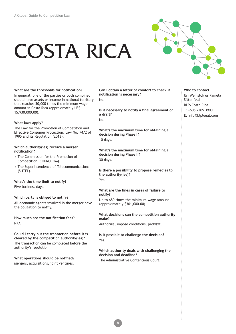# COSTA RICA



**What are the thresholds for notifcation?** In general, one of the parties or both combined should have assets or income in national territory that reaches 30,000 times the minimum wage amount in Costa Rica (approximately US\$ 15,930,000.00).

### **What laws apply?**

The Law for the Promotion of Competition and Effective Consumer Protection, Law No. 7472 of 1995 and its Regulation (2013).

### **Which authority(ies) receive a merger notifcation?**

- The Commission for the Promotion of Competition (COPROCOM).
- The Superintendence of Telecommunications (SUTEL).

### **What's the time limit to notify?**

Five business days.

### **Which party is obliged to notify?** All economic agents involved in the merger have

the obligation to notify.

**How much are the notifcation fees?** N/A.

### **Could I carry out the transaction before it is**

**cleared by the competition authority(ies)?** The transaction can be completed before the authority's resolution.

### **What operations should be notifed?**

Mergers, acquisitions, joint ventures.

**Can I obtain a letter of comfort to check if notifcation is necessary?** No.

**Is it necessary to notify a fnal agreement or a draft?** No.

**What's the maximum time for obtaining a decision during Phase I?** 10 days.

**What's the maximum time for obtaining a decision during Phase II?** 30 days.

**Is there a possibility to propose remedies to the authority(ies)?** Yes.

### **What are the fnes in cases of failure to notify?**

Up to 680 times the minimum wage amount (approximately \$361,080.00).

### **What decisions can the competition authority make?**

Authorize, impose conditions, prohibit.

**Is it possible to challenge the decision?**  Yes.

### **Which authority deals with challenging the decision and deadline?**

The Administrative Contentious Court.

### **Who to contact** Uri Weinstok or Pamela Sittenfeld BLP/Costa Rica T: +506 2205 3900 E: info@blplegal.com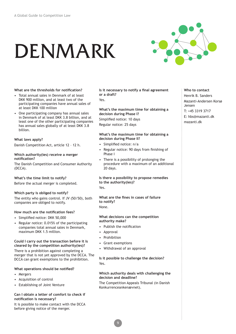# DENMARK



### **What are the thresholds for notifcation?**

- Total annual sales in Denmark of at least DKK 900 million, and at least two of the participating companies have annual sales of at least DKK 100 million
- One participating company has annual sales in Denmark of at least DKK 3.8 billion, and at least one of the other participating companies has annual sales globally of at least DKK 3.8 billion.

### **What laws apply?**

Danish Competition Act, article 12 – 12 h.

### **Which authority(ies) receive a merger notifcation?**

The Danish Competition and Consumer Authority (DCCA).

### **What's the time limit to notify?**

Before the actual merger is completed.

### **Which party is obliged to notify?**

The entity who gains control. If JV (50/50), both companies are obliged to notify.

### **How much are the notifcation fees?**

- Simplifed notice: DKK 50,000
- Regular notice: 0.015% of the participating companies total annual sales in Denmark, maximum DKK 1.5 million.

### **Could I carry out the transaction before it is cleared by the competition authority(ies)?**

There is a prohibition against completing a merger that is not yet approved by the DCCA. The DCCA can grant exemptions to the prohibition.

### **What operations should be notifed?**

- Mergers
- Acquisition of control
- Establishing of Joint Venture

### **Can I obtain a letter of comfort to check if notifcation is necessary?**

It is possible to make contact with the DCCA before giving notice of the merger.

**Is it necessary to notify a final agreement or a draft?** Yes

**What's the maximum time for obtaining a decision during Phase I?** Simplifed notice: 10 days Regular notice: 25 days

### **What's the maximum time for obtaining a decision during Phase II?**

- Simplifed notice: n/a
- Regular notice: 90 days from finishing of Phase I
- There is a possibility of prolonging the procedure with a maximum of an additional 20 days.

**Is there a possibility to propose remedies to the authority(ies)?** Yes.

**What are the fnes in cases of failure to notify?** None.

### **What decisions can the competition authority make?**

- Publish the notification
- **Approval**
- **Prohibition**
- Grant exemptions
- Withdrawal of an approval

### **Is it possible to challenge the decision?**  Yes.

### **Which authority deals with challenging the decision and deadline?**

The Competition Appeals Tribunal (in Danish Konkurrenceankenævnet).

**Who to contact** Henrik B. Sanders Mazanti-Andersen Korsø Jensen T: +45 3319 3717 E: hbs@mazanti.dk mazanti.dk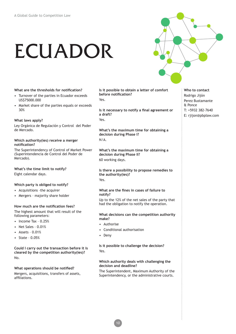# ECUADOR



- Turnover of the parties in Ecuador exceeds US\$75000.000
- Market share of the parties equals or exceeds 30%

### **What laws apply?**

Ley Orgánica de Regulación y Control del Poder de Mercado.

### **Which authority(ies) receive a merger notifcation?**

The Superintendency of Control of Market Power (Superintendencia de Control del Poder de Mercado).

### **What's the time limit to notify?**

Eight calendar days.

### **Which party is obliged to notify?**

- Acquisitions –the acquirer
- Mergers majority share holder

### **How much are the notifcation fees?**

The highest amount that will result of the following parameters:

- Income Tax 0.25%
- Net Sales 0.01%
- Assets 0.01%
- State 0.05%

**Could I carry out the transaction before it is cleared by the competition authority(ies)?** No.

### **What operations should be notifed?**

Mergers, acquisitions, transfers of assets, affliations.

**Is it possible to obtain a letter of comfort before notifcation?** Yes

**Is it necessary to notify a fnal agreement or a draft?** Yes

**What's the maximum time for obtaining a decision during Phase I?** N/A.

**What's the maximum time for obtaining a decision during Phase II?** 60 working days.

**Is there a possibility to propose remedies to the authority(ies)?**

Yes.

### **What are the fnes in cases of failure to notify?**

Up to the 12% of the net sales of the party that had the obligation to notify the operation.

### **What decisions can the competition authority make?**

- Authorise
- Conditional authorisation
- Deny

### **Is it possible to challenge the decision?**  Yes.

### **Which authority deals with challenging the decision and deadline?**

The Superintendent, Maximum Authority of the Superintendency, or the administrative courts.

- **Who to contact** Rodrigo Jijón Perez Bustamante & Ponce
- T: +5932 382-7640
- E: rjijon@pbplaw.com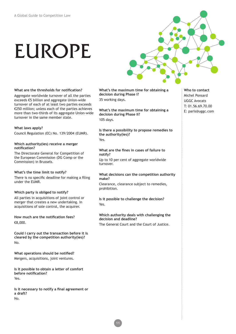# EUROPE



### **What are the thresholds for notifcation?**

Aggregate worldwide turnover of all the parties exceeds €5 billion and aggregate Union-wide turnover of each of at least two parties exceeds €250 million; unless each of the parties achieves more than two-thirds of its aggregate Union-wide turnover in the same member state.

### **What laws apply?**

Council Regulation (EC) No. 139/2004 (EUMR).

### **Which authority(ies) receive a merger notifcation?**

The Directorate General for Competition of the European Commission (DG Comp or the Commission) in Brussels.

### **What's the time limit to notify?**

There is no specifc deadline for making a fling under the EUMR.

### **Which party is obliged to notify?**

All parties in acquisitions of joint control or merger that creates a new undertaking. In acquisitions of sole control, the acquirer.

**How much are the notifcation fees?** €8,000.

**Could I carry out the transaction before it is cleared by the competition authority(ies)?** No.

**What operations should be notifed?** Mergers, acquisitions, joint ventures.

**Is it possible to obtain a letter of comfort before notifcation?** Yes.

**Is it necessary to notify a fnal agreement or a draft?** No.

**What's the maximum time for obtaining a decision during Phase I?** 35 working days.

**What's the maximum time for obtaining a decision during Phase II?** 105 days.

**Is there a possibility to propose remedies to the authority(ies)?** Yes

### **What are the fnes in cases of failure to notify?** Up to 10 per cent of aggregate worldwide turnover.

### **What decisions can the competition authority make?**

Clearance, clearance subject to remedies, prohibition.

**Is it possible to challenge the decision?**  Yes.

**Which authority deals with challenging the decision and deadline?** The General Court and the Court of Justice.

**Who to contact** Michel Ponsard UGGC Avocats T: 01.56.69.70.00 E: paris@uggc.com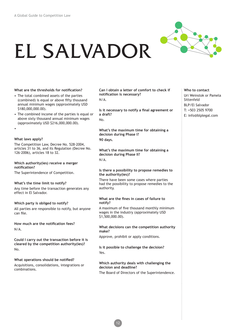# EL SALVADOR



### **What are the thresholds for notifcation?**

- The total combined assets of the parties (combined) is equal or above ffty thousand annual minimum wages (approximately USD \$180,000,000.00).
- The combined income of the parties is equal or above sixty thousand annual minimum wages (approximately USD \$216,000,000.00).
- •

### **What laws apply?**

The Competition Law, Decree No. 528-2004, articles 31 to 36, and its Regulation (Decree No. 126-2006), articles 18 to 32.

### **Which authority(ies) receive a merger notifcation?**

The Superintendence of Competition.

### **What's the time limit to notify?**

Any time before the transaction generates any effect in El Salvador.

### **Which party is obliged to notify?**

All parties are responsible to notify, but anyone can file.

**How much are the notifcation fees?** N/A.

**Could I carry out the transaction before it is cleared by the competition authority(ies)?** No.

### **What operations should be notifed?**

Acquisitions, consolidations, integrations or combinations.

**Can I obtain a letter of comfort to check if notifcation is necessary?** N/A.

**Is it necessary to notify a fnal agreement or a draft?** No.

**What's the maximum time for obtaining a decision during Phase I? 90 days.**

**What's the maximum time for obtaining a decision during Phase II?**  $N/\Delta$ 

### **Is there a possibility to propose remedies to the authority(ies)?**

There have been some cases where parties had the possibility to propose remedies to the authority.

### **What are the fnes in cases of failure to notify?**

A maximum of fve thousand monthly minimum wages in the industry (approximately USD \$1,500,000.00).

### **What decisions can the competition authority make?**

Approve, prohibit or apply conditions.

12

**Is it possible to challenge the decision?**  Yes.

### **Which authority deals with challenging the decision and deadline?** The Board of Directors of the Superintendence.

**Who to contact** Uri Weinstok or Pamela Sittenfeld BLP/El Salvador T: +503 2505 9700 E: info@blplegal.com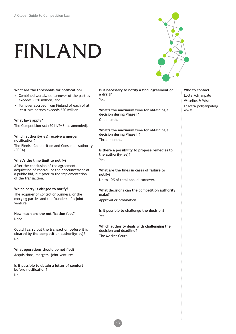# FINLAND



### **What are the thresholds for notifcation?**

- Combined worldwide turnover of the parties exceeds €350 million, and
- Turnover accrued from Finland of each of at least two parties exceeds €20 million

### **What laws apply?**

The Competition Act (2011/948, as amended).

### **Which authority(ies) receive a merger notifcation?**

The Finnish Competition and Consumer Authority (FCCA).

### **What's the time limit to notify?**

After the conclusion of the agreement, acquisition of control, or the announcement of a public bid, but prior to the implementation of the transaction.

### **Which party is obliged to notify?**

The acquirer of control or business, or the merging parties and the founders of a joint venture.

**How much are the notifcation fees?** None.

**Could I carry out the transaction before it is cleared by the competition authority(ies)?** No.

**What operations should be notifed?** Acquisitions, mergers, joint ventures.

**Is it possible to obtain a letter of comfort before notifcation?** No.

Is it necessary to notify a final agreement or **a draft?** Yes

**What's the maximum time for obtaining a decision during Phase I?** One month.

**What's the maximum time for obtaining a decision during Phase II?** Three months.

**Is there a possibility to propose remedies to the authority(ies)?** Yes.

**What are the fnes in cases of failure to notify?** Up to 10% of total annual turnover.

**What decisions can the competition authority make?**

Approval or prohibition.

**Is it possible to challenge the decision?**  Yes.

**Which authority deals with challenging the decision and deadline?** The Market Court.

**Who to contact** Lotta Pohjanpalo Waselius & Wist E: lotta.pohjanpalo@ ww.f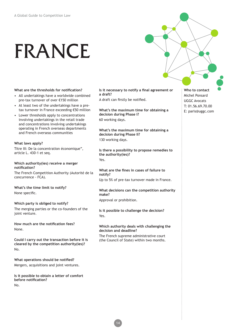## FRANCE

**What are the thresholds for notifcation?**

- All undertakings have a worldwide combined pre-tax turnover of over €150 million
- At least two of the undertakings have a pretax turnover in France exceeding €50 million
- Lower thresholds apply to concentrations involving undertakings in the retail trade and concentrations involving undertakings operating in French overseas departments and French overseas communities

### **What laws apply?**

Titre III: De la concentration économique", article L. 430-1 et seq.

### **Which authority(ies) receive a merger notifcation?**

The French Competition Authority (Autorité de la concurrence - FCA).

**What's the time limit to notify?** None specifc.

### **Which party is obliged to notify?**

The merging parties or the co-founders of the joint venture.

**How much are the notifcation fees?** None.

**Could I carry out the transaction before it is cleared by the competition authority(ies)?** No.

**What operations should be notifed?** Mergers, acquisitions and joint ventures.

**Is it possible to obtain a letter of comfort before notifcation?** No.

Is it necessary to notify a final agreement or **a draft?**

A draft can frstly be notifed.

**What's the maximum time for obtaining a decision during Phase I?** 60 working days.

**What's the maximum time for obtaining a decision during Phase II?** 130 working days.

**Is there a possibility to propose remedies to the authority(ies)?** Yes.

**What are the fnes in cases of failure to notify?**

Up to 5% of pre-tax turnover made in France.

**What decisions can the competition authority make?**

Approval or prohibition.

**Is it possible to challenge the decision?**  Yes.

### **Which authority deals with challenging the decision and deadline?**

The French supreme administrative court (the Council of State) within two months.

**Who to contact** Michel Ponsard UGGC Avocats T: 01.56.69.70.00 E: paris@uggc.com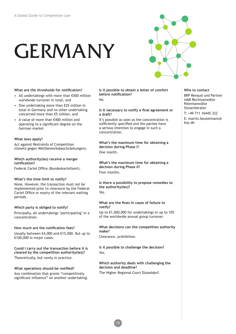# GERMANY



### **What are the thresholds for notifcation?**

- All undertakings with more than €500 million worldwide turnover in total, and
- One undertaking more than €25 million in total in Germany and no other undertaking concerned more than €5 million, and
- A value of more than €400 million and operating to a signifcant degree on the German market

### **What laws apply?**

Act against Restraints of Competition (Gesetz gegen Wettbewerbsbeschränkungen).

### **Which authority(ies) receive a merger notifcation?**

Federal Cartel Office (Bundeskartellamt).

### **What's the time limit to notify?**

None. However, the transaction must not be implemented prior to clearance by the Federal Cartel Office or expiry of the relevant waiting periods.

### **Which party is obliged to notify?**

Principally, all undertakings 'participating' in a concentration.

### **How much are the notifcation fees?**

Usually between €4,000 and €15,000. But up to €100,000 in major cases.

**Could I carry out the transaction before it is cleared by the competition authority(ies)?** Theoretically, but rarely in practice.

### **What operations should be notifed?**

Any combination that grants "competitively signifcant infuence" on another undertaking. **Is it possible to obtain a letter of comfort before notifcation?**  $N_{\Omega}$ 

### **Is it necessary to notify a fnal agreement or a draft?**

It's possible as soon as the concentration is sufficiently specified and the parties have a serious intention to engage in such a concentration.

**What's the maximum time for obtaining a decision during Phase I?** One month.

**What's the maximum time for obtaining a decision during Phase II?** Four months.

**Is there a possibility to propose remedies to the authority(ies)?** Yes.

### **What are the fnes in cases of failure to notify?**

Up to €1,000,000 for undertakings or up to 10% of the worldwide annual group turnover.

### **What decisions can the competition authority make?**

Clearance, prohibition.

**Is it possible to challenge the decision?**  Yes.

**Which authority deals with challenging the decision and deadline?**

The Higher Regional Court Düsseldorf.

### **Who to contact**

BRP Renaud und Partner mbB Rechtsanwälte Patentanwälte Steuerberater

T: +49 711 16445-322

E: martin.beutelmann@ brp.de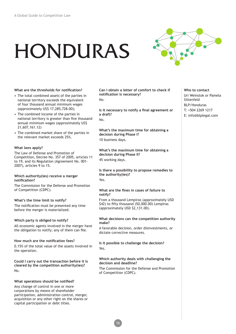# HONDURAS



**What are the thresholds for notifcation?**

- The total combined assets of the parties in national territory exceeds the equivalent of four thousand annual minimum wages (approximately US\$ 17,285,728.00);
- The combined income of the parties in national territory is greater than five thousand annual minimum wages (approximately US\$ 21,607,161.12)
- The combined market share of the parties in the relevant market exceeds 25%.

### **What laws apply?**

The Law of Defense and Promotion of Competition, Decree No. 357 of 2005, articles 11 to 19, and its Regulation (Agreement No. 001- 2007), articles 9 to 15.

### **Which authority(ies) receive a merger notifcation?**

The Commission for the Defense and Promotion of Competition (CDPC).

### **What's the time limit to notify?**

The notifcation must be presented any time before the merger is materialized.

### **Which party is obliged to notify?**

All economic agents involved in the merger have the obligation to notify; any of them can fle.

### **How much are the notifcation fees?**

0.15% of the total value of the assets involved in the operation.

**Could I carry out the transaction before it is cleared by the competition authority(ies)?** No.

### **What operations should be notifed?**

Any change of control in one or more corporations by means of shareholder participation, administration control, merger, acquisition or any other right on the shares or capital participation or debt titles.

**Can I obtain a letter of comfort to check if notifcation is necessary?** No.

**Is it necessary to notify a fnal agreement or a draft?** No.

**What's the maximum time for obtaining a decision during Phase I?** 10 business days.

**What's the maximum time for obtaining a decision during Phase II?** 45 working days.

**Is there a possibility to propose remedies to the authority(ies)?** Yes.

### **What are the fnes in cases of failure to notify?**

From a thousand Lempiras (approximately USD \$42) to fifty thousand (50,000.00) Lempiras (approximately USD \$2,131.00).

### **What decisions can the competition authority make?**

A favorable decision, order disinvestments, or dictate corrective measures.

**Is it possible to challenge the decision?**  Yes.

### **Which authority deals with challenging the decision and deadline?**

16

The Commission for the Defense and Promotion of Competition (CDPC).

**Who to contact** Uri Weinstok or Pamela Sittenfeld BLP/Honduras T: +504 2269 1217 E: info@blplegal.com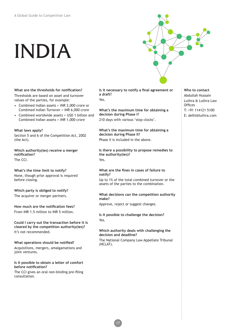# INDIA



**What are the thresholds for notifcation?** Thresholds are based on asset and turnover values of the parties, for example:

- Combined Indian assets > INR 2,000 crore or Combined Indian Turnover > INR 6,000 crore
- Combined worldwide assets > USD 1 billion and Combined Indian assets > INR 1,000 crore

### **What laws apply?**

Section 5 and 6 of the Competition Act, 2002 (the Act).

**Which authority(ies) receive a merger notifcation?** The CCI.

**What's the time limit to notify?**

None, though prior approval is required before closing.

**Which party is obliged to notify?** The acquirer or merger partners.

**How much are the notifcation fees?** From INR 1.5 million to INR 5 million.

**Could I carry out the transaction before it is cleared by the competition authority(ies)?** It's not recommended.

**What operations should be notifed?** Acquisitions, mergers, amalgamations and joint ventures.

**Is it possible to obtain a letter of comfort before notifcation?**

The CCI gives an oral non-binding pre-fling consultation.

Is it necessary to notify a final agreement or **a draft?** Yes

**What's the maximum time for obtaining a decision during Phase I?** 210 days with various 'stop clocks'.

**What's the maximum time for obtaining a decision during Phase II?** Phase II is included in the above.

**Is there a possibility to propose remedies to the authority(ies)?** Yes

**What are the fnes in cases of failure to notify?**

Up to 1% of the total combined turnover or the assets of the parties to the combination.

**What decisions can the competition authority make?**

Approve, reject or suggest changes.

**Is it possible to challenge the decision?**  Yes.

### **Which authority deals with challenging the decision and deadline?**

The National Company Law Appellate Tribunal (NCLAT).

**Who to contact** Abdullah Hussain Luthra & Luthra Law **Offices** T: +91 114121 5100 E: delhi@luthra.com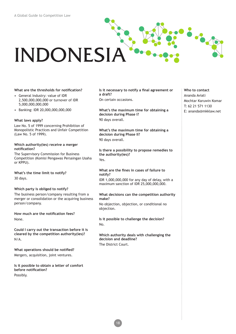# INDONESIA

### **What are the thresholds for notifcation?**

- General Industry: value of IDR 2,500,000,000,000 or turnover of IDR 5,000,000,000,000
- Banking: IDR 20,000,000,000,000

### **What laws apply?**

Law No. 5 of 1999 concerning Prohibition of Monopolistic Practices and Unfair Competition (Law No. 5 of 1999).

### **Which authority(ies) receive a merger notifcation?**

The Supervisory Commission for Business Competition (Komisi Pengawas Persaingan Usaha or KPPU).

**What's the time limit to notify?** 30 days.

### **Which party is obliged to notify?**

The business person/company resulting from a merger or consolidation or the acquiring business person/company.

**How much are the notifcation fees?** None.

**Could I carry out the transaction before it is cleared by the competition authority(ies)?** N/A.

**What operations should be notifed?** Mergers, acquisition, joint ventures.

**Is it possible to obtain a letter of comfort before notifcation?** Possibly.

Is it necessary to notify a final agreement or **a draft?**

On certain occasions.

**What's the maximum time for obtaining a decision during Phase I?** 90 days overall.

**What's the maximum time for obtaining a decision during Phase II?** 90 days overall.

**Is there a possibility to propose remedies to the authority(ies)?** Yes.

### **What are the fnes in cases of failure to notify?**

IDR 1,000,000,000 for any day of delay, with a maximum sanction of IDR 25,000,000,000.

### **What decisions can the competition authority make?**

No objection, objection, or conditional no objection.

**Is it possible to challenge the decision?**  No.

**Which authority deals with challenging the decision and deadline?** The District Court.

### **Who to contact** Ananda Aviati Mochtar Karuwin Komar T: 62 21 571 1130 E: ananda@mkklaw.net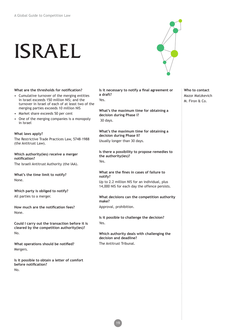# ISRAEL



### **What are the thresholds for notifcation?**

- Cumulative turnover of the merging entities in Israel exceeds 150 million NIS; and the turnover in Israel of each of at least two of the merging parties exceeds 10 million NIS
- Market share exceeds 50 per cent
- One of the merging companies is a monopoly in Israel

### **What laws apply?**

The Restrictive Trade Practices Law, 5748-1988 (the Antitrust Law).

### **Which authority(ies) receive a merger notifcation?**

The Israeli Antitrust Authority (the IAA).

**What's the time limit to notify?** None.

**Which party is obliged to notify?** All parties to a merger.

**How much are the notifcation fees?** None.

**Could I carry out the transaction before it is cleared by the competition authority(ies)?** No.

**What operations should be notifed?** Mergers.

**Is it possible to obtain a letter of comfort before notifcation?** No.

**Is it necessary to notify a fnal agreement or a draft?**

Yes

**What's the maximum time for obtaining a decision during Phase I?** 30 days.

**What's the maximum time for obtaining a decision during Phase II?** Usually longer than 30 days.

**Is there a possibility to propose remedies to the authority(ies)?** Yes.

**What are the fnes in cases of failure to notify?** Up to 2.2 million NIS for an individual, plus 14,000 NIS for each day the offence persists.

### **What decisions can the competition authority make?**

Approval, prohibition.

**Is it possible to challenge the decision?**  Yes.

**Which authority deals with challenging the decision and deadline?** The Antitrust Tribunal.

**Who to contact** Mazor Matzkevich M. Firon & Co.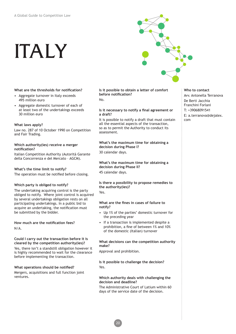# ITALY



### **What are the thresholds for notifcation?**

- Aggregate turnover in Italy exceeds 495 million euro
- Aggregate domestic turnover of each of at least two of the undertakings exceeds 30 million euro

### **What laws apply?**

Law no. 287 of 10 October 1990 on Competition and Fair Trading.

### **Which authority(ies) receive a merger notifcation?**

Italian Competition Authority (Autorità Garante della Concorrenza e del Mercato – AGCM).

### **What's the time limit to notify?**

The operation must be notifed before closing.

### **Which party is obliged to notify?**

The undertaking acquiring control is the party obliged to notify. Where joint control is acquired by several undertakings obligation rests on all participating undertakings. In a public bid to acquire an undertaking, the notifcation must be submitted by the bidder.

**How much are the notifcation fees?** N/A.

### **Could I carry out the transaction before it is cleared by the competition authority(ies)?**

Yes, there isn't a standstill obligation however it is highly recommended to wait for the clearance before implementing the transaction.

### **What operations should be notifed?**

Mergers, acquisitions and full function joint ventures.

### **Is it possible to obtain a letter of comfort before notifcation?**  $N_{\Omega}$

### **Is it necessary to notify a fnal agreement or a draft?**

It is possible to notify a draft that must contain all the essential aspects of the transaction, so as to permit the Authority to conduct its assessment.

### **What's the maximum time for obtaining a decision during Phase I?** 30 calendar days.

**What's the maximum time for obtaining a decision during Phase II?**

45 calendar days.

### **Is there a possibility to propose remedies to the authority(ies)?**

Yes.

### **What are the fnes in cases of failure to notify?**

- Up 1% of the parties' domestic turnover for the preceding year
- If a transaction is implemented despite a prohibition, a fine of between 1% and 10% of the domestic (Italian) turnover

### **What decisions can the competition authority make?**

Approval and prohibition.

20

### **Is it possible to challenge the decision?**  Yes.

### **Which authority deals with challenging the decision and deadline?**

The Administrative Court of Latium within 60 days of the service date of the decision.

### **Who to contact** Avv. Antonella Terranova

- De Berti Jacchia
- Franchini Forlani
- T: +39068091541
- E: a.terranova@dejalex. com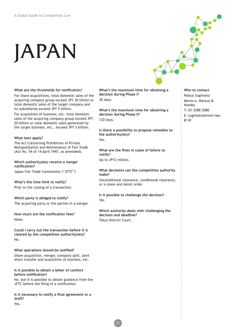# JAPAN



### **What are the thresholds for notifcation?**

For share acquisitions, total domestic sales of the acquiring company group exceed JPY 20 billion or total domestic sales of the target company and its subsidiaries exceed JPY 5 billion.

For acquisition of business, etc. total domestic sales of the acquiring company group exceed JPY 20 billion or total domestic sales generated by the target business, etc., exceed JPY 3 billion.

### **What laws apply?**

The Act Concerning Prohibition of Private Monopolization and Maintenance of Fair Trade (Act No. 54 of 14 April 1947, as amended).

### **Which authority(ies) receive a merger notifcation?**

Japan Fair Trade Commission ("JFTC")

### **What's the time limit to notify?**

Prior to the closing of a transaction.

### **Which party is obliged to notify?** The acquiring party or the parties in a merger.

### **How much are the notifcation fees?** None.

**Could I carry out the transaction before it is cleared by the competition authority(ies)?** No.

**What operations should be notifed?** Share acquisition, merger, company split, joint share transfer and acquisition of business, etc.

### **Is it possible to obtain a letter of comfort before notifcation?**

No, but it is possible to obtain guidance from the JFTC before the fling of a notifcation.

**Is it necessary to notify a fnal agreement or a draft?**

Yes.

**What's the maximum time for obtaining a decision during Phase I?** 30 days.

**What's the maximum time for obtaining a decision during Phase II?** 120 days.

**Is there a possibility to propose remedies to the authority(ies)?** Yes

**What are the fnes in cases of failure to notify?** Up to JPY2 million.

### **What decisions can the competition authority make?**

Unconditional clearance, conditional clearance, or a cease and desist order.

**Is it possible to challenge the decision?**  Yes.

### **Which authority deals with challenging the decision and deadline?** Tokyo District Court.

**Who to contact** Nobuo Sugimoto Momo-o, Matsuo & Namba T: 03-3288-2080 E: sugimoto@mmn-law. gr.jp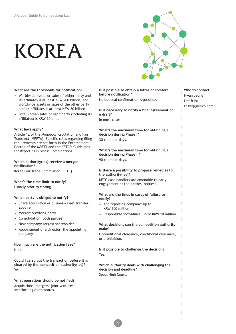# KOREA



**What are the thresholds for notifcation?**

- Worldwide assets or sales of either party and its affliates is at least KRW 200 billion, and worldwide assets or sales of the other party and its affliates is at least KRW 20 billion
- Total Korean sales of each party (including its affliates) is KRW 20 billion

### **What laws apply?**

Article 12 of the Monopoly Regulation and Fair Trade Act (MRFTA). Specifc rules regarding fling requirements are set forth in the Enforcement Decree of the MRFTA and the KFTC's Guidelines for Reporting Business Combinations.

### **Which authority(ies) receive a merger notifcation?**

Korea Fair Trade Commission (KFTC).

### **What's the time limit to notify?** Usually prior to closing.

### **Which party is obliged to notify?**

- Share acquisition or business/asset transfer: acquirer
- Merger: Surviving party
- Consolidation (both parties)
- New company: largest shareholder
- Appointment of a director: the appointing company

### **How much are the notifcation fees?** None.

**Could I carry out the transaction before it is cleared by the competition authority(ies)?** Yes.

### **What operations should be notifed?** Acquisitions, mergers, joint ventures, interlocking directorates.

**Is it possible to obtain a letter of comfort before notifcation?**

No but oral confrmation is possible.

**Is it necessary to notify a fnal agreement or a draft?** In most cases.

**What's the maximum time for obtaining a decision during Phase I?** 30 calendar days.

**What's the maximum time for obtaining a decision during Phase II?** 90 calendar days.

### **Is there a possibility to propose remedies to the authority(ies)?**

KFTC case handlers are amenable to early engagement at the parties' request.

### **What are the fnes in cases of failure to notify?**

- The reporting company: up to KRW 100 million
- Responsible individuals: up to KRW 10 million

### **What decisions can the competition authority make?**

Unconditional clearance, conditional clearance, or prohibition.

**Is it possible to challenge the decision?**  Yes.

**Which authority deals with challenging the decision and deadline?** Seoul High Court.

22

### **Who to contact** Hwan Jeong Lee & Ko E: hwj@leeko.com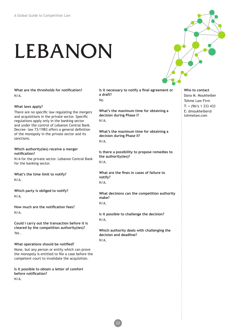# LEBANON

**What are the thresholds for notifcation?**  N/A.

### **What laws apply?**

There are no specific law regulating the mergers and acquisitions in the private sector. Specifc regulations apply only in the banking sector and under the control of Lebanon Central Bank. Decree- law 73/1983 offers a general defnition of the monopoly in the private sector and its sanctions.

### **Which authority(ies) receive a merger notifcation?**

N/A for the private sector. Lebanon Central Bank for the banking sector.

**What's the time limit to notify?** N/A.

**Which party is obliged to notify?** N/A.

**How much are the notifcation fees?**  N/A.

**Could I carry out the transaction before it is cleared by the competition authority(ies)?** Yes .

### **What operations should be notifed?**

None, but any person or entity which can prove the monopoly is entitled to fle a case before the competent court to invalidate the acquisition.

**Is it possible to obtain a letter of comfort before notifcation?**  N/A.

Is it necessary to notify a final agreement or **a draft?**  No

**What's the maximum time for obtaining a decision during Phase I?**  N/A.

**What's the maximum time for obtaining a decision during Phase II?**  N/A.

**Is there a possibility to propose remedies to the authority(ies)?**  N/A.

**What are the fnes in cases of failure to notify?**  N/A.

**What decisions can the competition authority make?**   $N/\Delta$ 

**Is it possible to challenge the decision?** N/A.

**Which authority deals with challenging the decision and deadline?**   $N/\Delta$ 

**Who to contact** Dana M. Moukheiber Tohme Law Firm T: + (961) 1 333 433 E: dmoukheiber@ tohmelaw.com

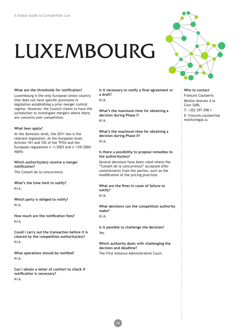# LUXEMBOURG



**What are the thresholds for notifcation?**

Luxembourg is the only European Union country that does not have specifc provisions in legislation establishing a prior merger control regime. However, the Council claims to have the jurisdiction to investigate mergers where there are concerns over competition.

### **What laws apply?**

At the domestic level, the 2011 law is the relevant legislation. At the European level, Articles 101 and 102 of the TFEU and the European regulations n°1/2003 and n°139/2004 apply.

**Which authority(ies) receive a merger notifcation?**

The Conseil de la concurrence.

**What's the time limit to notify?** N/A.

**Which party is obliged to notify?** N/A.

**How much are the notifcation fees?** N/A.

**Could I carry out the transaction before it is cleared by the competition authority(ies)?** N/A.

**What operations should be notifed?** N/A.

**Can I obtain a letter of comfort to check if notifcation is necessary?** N/A.

Is it necessary to notify a final agreement or **a draft?**

N/A.

**What's the maximum time for obtaining a decision during Phase I?**  $N/A$ 

**What's the maximum time for obtaining a decision during Phase II?** N/A.

### **Is there a possibility to propose remedies to the authority(ies)?**

Several decisions have been ruled where the "Conseil de la concurrence" accepted offer commitments from the parties, such as the modifcation of the pricing practices.

**What are the fnes in cases of failure to notify?** N/A.

**What decisions can the competition authority make?**  N/A.

**Is it possible to challenge the decision?**  Yes.

**Which authority deals with challenging the decision and deadline?** The First Instance Administrative Court.

**Who to contact** François Cautaerts Molitor Avocats à la

Cour SARL T: +352 297 298 1 E: francois.cautaerts@ molitorlegal.lu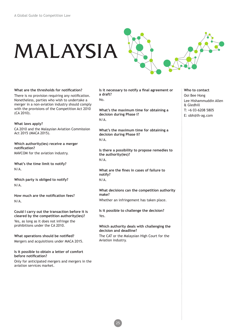# MALAYSIA

**What are the thresholds for notifcation?** There is no provision requiring any notifcation. Nonetheless, parties who wish to undertake a merger in a non-aviation industry should comply with the provisions of the Competition Act 2010 (CA 2010).

**What laws apply?** CA 2010 and the Malaysian Aviation Commission Act 2015 (MACA 2015).

**Which authority(ies) receive a merger notifcation?** MAVCOM for the aviation industry.

**What's the time limit to notify?** N/A.

**Which party is obliged to notify?** N/A.

**How much are the notifcation fees?** N/A.

**Could I carry out the transaction before it is cleared by the competition authority(ies)?** Yes, as long as it does not infringe the prohibitions under the CA 2010.

**What operations should be notifed?** Mergers and acquisitions under MACA 2015.

**Is it possible to obtain a letter of comfort before notifcation?**

Only for anticipated mergers and mergers in the aviation services market.

Is it necessary to notify a final agreement or **a draft?**  $N_{\Omega}$ 

**What's the maximum time for obtaining a decision during Phase I?** N/A.

**What's the maximum time for obtaining a decision during Phase II?** N/A.

**Is there a possibility to propose remedies to the authority(ies)?** N/A.

**What are the fnes in cases of failure to notify?** N/A.

**What decisions can the competition authority make?** Whether an infringement has taken place.

**Is it possible to challenge the decision?**  Yes.

**Which authority deals with challenging the decision and deadline?**

The CAT or the Malaysian High Court for the Aviation industry.

- **Who to contact** Ooi Bee Hong Lee Hishammuddin Allen & Gledhill T: +6 03-6208 5805
- E: obh@lh-ag.com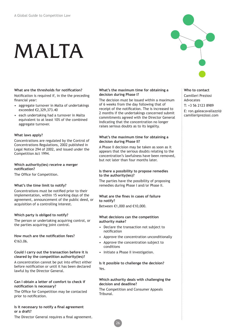# MALTA

**What are the thresholds for notifcation?**  Notifcation is required if, in the the preceding fnancial year:

- aggregate turnover in Malta of undertakings exceeded €2,329,373.40
- each undertaking had a turnover in Malta equivalent to at least 10% of the combined aggregate turnover.

### **What laws apply?**

Concentrations are regulated by the Control of Concentrations Regulations, 2002 published in Legal Notice 294 of 2002, and issued under the Competition Act 1994.

### **Which authority(ies) receive a merger notifcation?**

The Office for Competition.

### **What's the time limit to notify?**

Concentrations must be notifed prior to their implementation, within 15 working days of the agreement, announcement of the public deed, or acquisition of a controlling interest.

### **Which party is obliged to notify?**

The person or undertaking acquiring control, or the parties acquiring joint control.

**How much are the notifcation fees?** €163.06.

### **Could I carry out the transaction before it is cleared by the competition authority(ies)?**

A concentration cannot be put into effect either before notifcation or until it has been declared lawful by the Director General.

### **Can I obtain a letter of comfort to check if notifcation is necessary?**

The Office for Competition may be contacted prior to notifcation.

### **Is it necessary to notify a final agreement or a draft?**

The Director General requires a fnal agreement.

### **What's the maximum time for obtaining a decision during Phase I?**

The decision must be issued within a maximum of 6 weeks from the day following that of receipt of the notifcation. The is increased to 2 months if the undertakings concerned submit commitments agreed with the Director General indicating that the concentration no longer raises serious doubts as to its legality.

### **What's the maximum time for obtaining a decision during Phase II?**

A Phase II decision may be taken as soon as it appears that the serious doubts relating to the concentration's lawfulness have been removed, but not later than four months later.

### **Is there a possibility to propose remedies to the authority(ies)?**

The parties have the possibility of proposing remedies during Phase I and/or Phase II.

### **What are the fnes in cases of failure to notify?**

Between €1,000 and €10,000.

### **What decisions can the competition authority make?**

- Declare the transaction not subject to notifcation
- Approve the concentration unconditionally
- Approve the concentration subject to conditions
- Initiate a Phase II investigation.

### **Is it possible to challenge the decision?**  Yes.

### **Which authority deals with challenging the decision and deadline?**

The Competition and Consumer Appeals Tribunal.

26

### **Who to contact** Camilleri Preziosi Advocates T: +3 56 2123 8989 E: ron.galeacavallazzi@ camilleripreziosi.com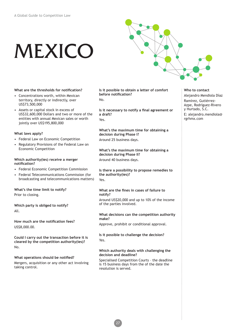# MEXICO



### **What are the thresholds for notifcation?**

- Concentrations worth, within Mexican territory, directly or indirectly, over US\$73,500,000
- Assets or capital stock in excess of US\$32,600,000 Dollars and two or more of the entities with annual Mexican sales or worth jointly over US\$195,800,000

### **What laws apply?**

- Federal Law on Economic Competition
- Regulatory Provisions of the Federal Law on Economic Competition

### **Which authority(ies) receive a merger notifcation?**

- Federal Economic Competition Commission
- Federal Telecommunications Commission (for broadcasting and telecommunications matters)

### **What's the time limit to notify?** Prior to closing.

**Which party is obliged to notify?** All.

**How much are the notifcation fees?** US\$8,000.00.

**Could I carry out the transaction before it is cleared by the competition authority(ies)?** No.

### **What operations should be notifed?** Mergers, acquisition or any other act involving taking control.

**Is it possible to obtain a letter of comfort before notifcation?**  $N_{\Omega}$ 

**Is it necessary to notify a fnal agreement or a draft?** Yes

**What's the maximum time for obtaining a decision during Phase I?** Around 25 business days.

**What's the maximum time for obtaining a decision during Phase II?** Around 40 business days.

**Is there a possibility to propose remedies to the authority(ies)?** Yes.

### **What are the fnes in cases of failure to notify?**

Around US\$20,000 and up to 10% of the income of the parties involved.

### **What decisions can the competition authority make?**

Approve, prohibit or conditional approval.

**Is it possible to challenge the decision?**  Yes.

### **Which authority deals with challenging the decision and deadline?**

Specialised Competition Courts – the deadline is 15 business days from the of the date the resolution is served.

### **Who to contact** Alejandro Mendiola Díaz Ramírez, Gutiérrez-Azpe, Rodríguez-Rivero y Hurtado, S.C. E: alejandro.mendiola@ rgrhmx.com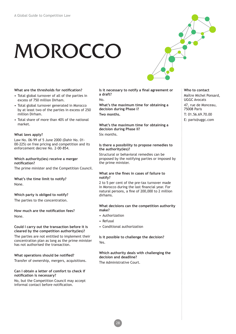# **MOROCCO**

**What are the thresholds for notifcation?**

- Total global turnover of all of the parties in excess of 750 million Dirham.
- Total global turnover generated in Morocco by at least two of the parties in excess of 250 million Dirham.
- Total share of more than 40% of the national market.

### **What laws apply?**

Law No. 06-99 of 5 June 2000 (Dahir No. 01- 00-225) on free pricing and competition and its enforcement decree No. 2-00-854.

### **Which authority(ies) receive a merger notifcation?**

The prime minister and the Competition Council.

**What's the time limit to notify?** None.

### **Which party is obliged to notify?**

The parties to the concentration.

**How much are the notifcation fees?** None.

### **Could I carry out the transaction before it is cleared by the competition authority(ies)?**

The parties are not entitled to implement their concentration plan as long as the prime minister has not authorised the transaction.

### **What operations should be notifed?**

Transfer of ownership, mergers, acquisitions.

### **Can I obtain a letter of comfort to check if notifcation is necessary?**

No, but the Competition Council may accept informal contact before notifcation.

Is it necessary to notify a final agreement or **a draft?**  $N_{\Omega}$ 

**What's the maximum time for obtaining a decision during Phase I? Two months.**

**What's the maximum time for obtaining a decision during Phase II?** Six months.

### **Is there a possibility to propose remedies to the authority(ies)?**

Structural or behavioral remedies can be proposed by the notifying parties or imposed by the prime minister.

### **What are the fnes in cases of failure to notify?**

2 to 5 per cent of the pre-tax turnover made in Morocco during the last fnancial year. For natural persons, a fne of 200,000 to 2 million dirhams.

### **What decisions can the competition authority make?**

- Authorization
- Refusal
- Conditional authorization

**Is it possible to challenge the decision?**  Yes.

### **Which authority deals with challenging the decision and deadline?**

The Administrative Court.

28

### **Who to contact** Maître Michel Ponsard, UGGC Avocats 47, rue de Monceau, 75008 Paris T: 01.56.69.70.00 E: paris@uggc.com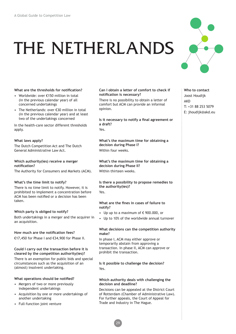### THE NETHERLANDS



### **What are the thresholds for notifcation?**

- Worldwide: over €150 million in total (in the previous calendar year) of all concerned undertakings
- The Netherlands: over €30 million in total (in the previous calendar year) and at least two of the undertakings concerned

In the health-care sector different thresholds apply.

### **What laws apply?**

The Dutch Competition Act and The Dutch General Administrative Law Act.

### **Which authority(ies) receive a merger notifcation?**

The Authority for Consumers and Markets (ACM).

### **What's the time limit to notify?**

There is no time limit to notify. However, it is prohibited to implement a concentration before ACM has been notifed or a decision has been taken.

### **Which party is obliged to notify?**

Both undertakings in a merger and the acquirer in an acquisition.

### **How much are the notifcation fees?**

€17,450 for Phase I and €34,900 for Phase II.

### **Could I carry out the transaction before it is cleared by the competition authority(ies)?**

There is an exemption for public bids and special circumstances such as the acquisition of an (almost) insolvent undertaking.

### **What operations should be notifed?**

- Mergers of two or more previously independent undertakings
- Acquisition by one or more undertakings of another undertaking
- Full-function joint venture

### **Can I obtain a letter of comfort to check if notifcation is necessary?**

There is no possibility to obtain a letter of comfort but ACM can provide an informal opinion.

**Is it necessary to notify a fnal agreement or a draft?** Yes.

**What's the maximum time for obtaining a decision during Phase I?** Within four weeks.

**What's the maximum time for obtaining a decision during Phase II?** Within thirteen weeks.

### **Is there a possibility to propose remedies to the authority(ies)?**

### Yes

### **What are the fnes in cases of failure to notify?**

- Up up to a maximum of  $\epsilon$  900.000, or
- Up to 10% of the worldwide annual turnover

### **What decisions can the competition authority make?**

In phase I, ACM may either approve or temporarily abstain from approving a transaction. In phase II, ACM can approve or prohibit the transaction.

### **Is it possible to challenge the decision?**  Yes.

### **Which authority deals with challenging the decision and deadline?**

Decisions can be appealed at the District Court of Rotterdam (Chamber of Administrative Law). For further appeals, the Court of Appeal for Trade and Industry in The Hague.

29

**Who to contact** Joost Houdijk AKD T: +31 88 253 5079 E: jhoudijk@akd.eu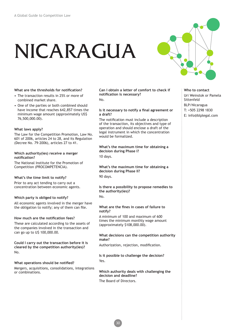# NICARAGUA



### **What are the thresholds for notifcation?**

- The transaction results in 25% or more of combined market share.
- One of the parties or both combined should have income that reaches 642,857 times the minimum wage amount (approximately US\$ 76,500,000.00).

### **What laws apply?**

The Law for the Competition Promotion, Law No. 601 of 2006, articles 24 to 28, and its Regulation (Decree No. 79-2006), articles 27 to 41.

### **Which authority(ies) receive a merger notifcation?**

The National Institute for the Promotion of Competition (PROCOMPETENCIA).

### **What's the time limit to notify?**

Prior to any act tending to carry out a concentration between economic agents.

**Which party is obliged to notify?** All economic agents involved in the merger have the obligation to notify; any of them can fle.

### **How much are the notifcation fees?**

These are calculated according to the assets of the companies involved in the transaction and can go up to U\$ 100,000.00.

**Could I carry out the transaction before it is cleared by the competition authority(ies)?** No.

### **What operations should be notifed?**

Mergers, acquisitions, consolidations, integrations or combinations.

**Can I obtain a letter of comfort to check if notifcation is necessary?** No.

### **Is it necessary to notify a fnal agreement or a draft?**

The notifcation must include a description of the transaction, its objectives and type of operation and should enclose a draft of the legal instrument in which the concentration would be formalized.

**What's the maximum time for obtaining a decision during Phase I?**

10 days.

**What's the maximum time for obtaining a decision during Phase II?** 90 days.

**Is there a possibility to propose remedies to the authority(ies)?** No.

### **What are the fnes in cases of failure to notify?**

A minimum of 100 and maximum of 600 times the minimum monthly wage amount (approximately \$108,000.00).

**What decisions can the competition authority make?**

Authorization, rejection, modifcation.

**Is it possible to challenge the decision?**  Yes.

**Which authority deals with challenging the decision and deadline?** The Board of Directors.

**Who to contact** Uri Weinstok or Pamela Sittenfeld

BLP/Nicaragua

- T: +505 2298 1830
- E: info@blplegal.com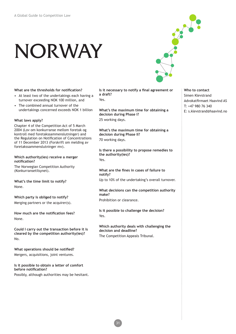# NORWAY

**What are the thresholds for notifcation?**

- At least two of the undertakings each having a turnover exceeding NOK 100 million, and
- The combined annual turnover of the undertakings concerned exceeds NOK 1 billion

### **What laws apply?**

Chapter 4 of the Competition Act of 5 March 2004 (Lov om konkurranse mellom foretak og kontroll med foretakssammenslutninger) and the Regulation on Notifcation of Concentrations of 11 December 2013 (Forskrift om melding av foretakssammenslutninger mv).

**Which authority(ies) receive a merger notifcation?**

The Norwegian Competition Authority (Konkurransetilsynet).

**What's the time limit to notify?** None.

**Which party is obliged to notify?** Merging partners or the acquirer(s).

**How much are the notifcation fees?** None.

**Could I carry out the transaction before it is cleared by the competition authority(ies)?** No.

**What operations should be notifed?** Mergers, acquisitions, joint ventures.

**Is it possible to obtain a letter of comfort before notifcation?**

Possibly, although authorities may be hesitant.

Is it necessary to notify a final agreement or **a draft?** Yes

**What's the maximum time for obtaining a decision during Phase I?** 25 working days.

**What's the maximum time for obtaining a decision during Phase II?** 70 working days.

**Is there a possibility to propose remedies to the authority(ies)?** Yes.

**What are the fnes in cases of failure to notify?** Up to 10% of the undertaking's overall turnover.

**What decisions can the competition authority make?**

Prohibition or clearance.

31

**Is it possible to challenge the decision?**  Yes.

**Which authority deals with challenging the decision and deadline?** The Competition Appeals Tribunal.

**Who to contact** Simen Klevstrand Advokatfrmaet Haavind AS T: +47 980 76 340 E: s.klevstrand@haavind.no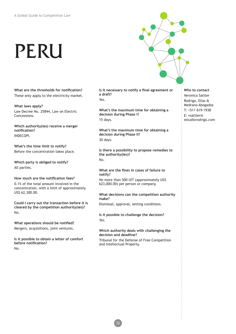# PERU



**What are the thresholds for notifcation?** These only apply to the electricity market.

**What laws apply?** Law Decree No. 25844, Law on Electric Concessions.

**Which authority(ies) receive a merger notifcation?** INDECOPI.

**What's the time limit to notify?** Before the concentration takes place.

**Which party is obliged to notify?** All parties.

### **How much are the notifcation fees?**

0.1% of the total amount involved in the concentration, with a limit of approximately US\$ 62,300.00.

**Could I carry out the transaction before it is cleared by the competition authority(ies)?** No.

**What operations should be notifed?** Mergers, acquisitions, joint ventures.

**Is it possible to obtain a letter of comfort before notifcation?** No.

**Is it necessary to notify a fnal agreement or a draft?** Yes

**What's the maximum time for obtaining a decision during Phase I?** 15 days.

**What's the maximum time for obtaining a decision during Phase II?** 30 days.

**Is there a possibility to propose remedies to the authority(ies)?** No.

### **What are the fnes in cases of failure to notify?**

No more than 500 UIT (approximately US\$ 623,000.00) per person or company.

### **What decisions can the competition authority make?**

Dismissal, approval, setting conditions.

**Is it possible to challenge the decision?**  Yes.

### **Which authority deals with challenging the decision and deadline?**

Tribunal for the Defense of Free Competition and Intellectual Property.

**Who to contact** Veronica Sattler Rodrigo, Elías & Medrano Abogados T: +511 619-1938 E: vsattler@ estudiorodrigo.com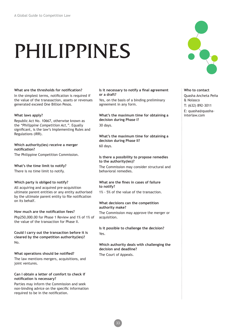# PHILIPPINES



### **What are the thresholds for notifcation?**

In the simplest terms, notifcation is required if the value of the tranasaction, assets or revenues generated exceed One Billion Pesos.

### **What laws apply?**

Republic Act No. 10667, otherwise known as the *"Philippine Competition Act,"*. Equally signifcant, is the law's Implementing Rules and Regulations (IRR).

**Which authority(ies) receive a merger notifcation?**

The Philippine Competition Commission.

**What's the time limit to notify?**

There is no time limit to notify.

### **Which party is obliged to notify?**

All acquiring and acquired pre-acquisition ultimate parent entities or any entity authorised by the ultimate parent entity to fle notifcation on its behalf.

### **How much are the notifcation fees?**

Php250,000.00 for Phase 1 Review and 1% of 1% of the value of the transaction for Phase II.

**Could I carry out the transaction before it is cleared by the competition authority(ies)?** No.

### **What operations should be notifed?**

The law mentions mergers, acquisitions, and joint ventures.

### **Can I obtain a letter of comfort to check if notifcation is necessary?**

Parties may inform the Commission and seek non-binding advice on the specifc information required to be in the notifcation.

**Is it necessary to notify a fnal agreement or a draft?**

Yes, on the basis of a binding preliminary agreement in any form.

**What's the maximum time for obtaining a decision during Phase I?** 30 days.

**What's the maximum time for obtaining a decision during Phase II?** 60 days.

### **Is there a possibility to propose remedies to the authority(ies)?**

The Commission may consider structural and behavioral remedies.

### **What are the fnes in cases of failure to notify?**

1% - 5% of the value of the transaction.

### **What decisions can the competition authority make?**

The Commission may approve the merger or acquisition.

**Is it possible to challenge the decision?**  Yes.

**Which authority deals with challenging the decision and deadline?**

The Court of Appeals.

### **Who to contact** Quasha Ancheta Peña & Nolasco T: (632) 892-3011 E: quasha@quashainterlaw.com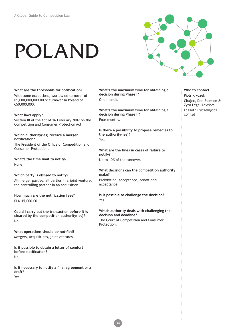# POLAND



**What are the thresholds for notifcation?** With some exceptions, worldwide turnover of €1,000,000,000.00 or turnover in Poland of €50,000,000.

**What laws apply?** Section III of the Act of 16 February 2007 on the Competition and Consumer Protection Act.

**Which authority(ies) receive a merger notifcation?**

The President of the Office of Competition and Consumer Protection.

**What's the time limit to notify?** None.

### **Which party is obliged to notify?**

All merger parties, all parties in a joint venture, the controlling partner in an acquisition.

**How much are the notifcation fees?** PLN 15,000.00.

**Could I carry out the transaction before it is cleared by the competition authority(ies)?** No.

**What operations should be notifed?** Mergers, acquisitions, joint ventures.

**Is it possible to obtain a letter of comfort before notifcation?** No.

**Is it necessary to notify a fnal agreement or a draft?** Yes.

**What's the maximum time for obtaining a decision during Phase I?** One month.

**What's the maximum time for obtaining a decision during Phase II?** Four months.

**Is there a possibility to propose remedies to the authority(ies)?** Yes.

**What are the fnes in cases of failure to notify?** Up to 10% of the turnover.

**What decisions can the competition authority make?** Prohibition, acceptance, conditional

acceptance.

**Is it possible to challenge the decision?**  Yes.

### **Which authority deals with challenging the decision and deadline?**

The Court of Competition and Consumer Protection.

**Who to contact** Piotr Kryczek Chajec, Don-Siemion & Żyto Legal Advisors E: Piotr.Kryczek@cdz. com.pl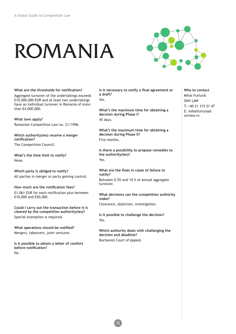# ROMANIA



### **What are the thresholds for notifcation?**

Aggregate turnover of the undertakings exceeds €10,000,000 EUR and at least two undertakings have an individual turnover in Romania of more than €4,000,000.

**What laws apply?** Romanian Competition Law no. 21/1996.

**Which authority(ies) receive a merger notifcation?** The Competition Council.

**What's the time limit to notify?** None.

**Which party is obliged to notify?** All parties in merger or party gaining control.

**How much are the notifcation fees?** €1.061 EUR for each notifcation plus between €10,000 and €50,000.

**Could I carry out the transaction before it is cleared by the competition authority(ies)?** Special exemption is required.

**What operations should be notifed?** Mergers, takeovers, joint ventures.

**Is it possible to obtain a letter of comfort before notifcation?** No.

Is it necessary to notify a final agreement or **a draft?** Yes

**What's the maximum time for obtaining a decision during Phase I?** 45 days.

**What's the maximum time for obtaining a decision during Phase II?** Five months.

**Is there a possibility to propose remedies to the authority(ies)?** Yes.

**What are the fnes in cases of failure to notify?** Between 0.5% and 10 % of annual aggregate turnover.

**What decisions can the competition authority make?**

Clearance, objection, investigation.

**Is it possible to challenge the decision?**  Yes.

**Which authority deals with challenging the decision and deadline?** Bucharest Court of Appeal.

**Who to contact** Mihai Furtună ONV LAW T: +40 21 315 21 47 E: mihaifurtuna@ onvlaw.ro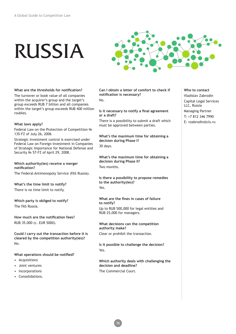# RUSSIA



### **What are the thresholds for notifcation?**

The turnover or book value of all companies within the acquirer's group and the target's group exceeds RUB 7 billion and all companies within the target's group exceeds RUB 400 million roubles.

### **What laws apply?**

Federal Law on the Protection of Competition № 135-FZ of July 26, 2006

Strategic investment control is exercised under Federal Law on Foreign Investment in Companies of Strategic Importance for National Defense and Security № 57-FZ of April 29, 2008.

### **Which authority(ies) receive a merger notifcation?**

The Federal Antimonopoly Service (FAS Russia).

### **What's the time limit to notify?**

There is no time limit to notify.

**Which party is obliged to notify?** The FAS Russia.

**How much are the notifcation fees?** RUB 35.000 (c. EUR 5000).

**Could I carry out the transaction before it is cleared by the competition authority(ies)?** No.

### **What operations should be notifed?**

- Acquisitions
- Joint ventures
- Incorporations
- Consolidations.

**Can I obtain a letter of comfort to check if notifcation is necessary?**

No.

### **Is it necessary to notify a fnal agreement or a draft?**

There is a possibility to submit a draft which must be approved between parties.

**What's the maximum time for obtaining a decision during Phase I?** 30 days.

**What's the maximum time for obtaining a decision during Phase II?** Two months.

**Is there a possibility to propose remedies to the authority(ies)?** Yes.

### **What are the fnes in cases of failure to notify?** Up to RUB 500,000 for legal entities and

RUB 25,000 for managers.

### **What decisions can the competition authority make?**

Clear or prohibit the transaction.

**Is it possible to challenge the decision?**  Yes.

### **Which authority deals with challenging the decision and deadline?** The Commercial Court.

**Who to contact** Vladislav Zabrodin Capital Legal Services LLC, Russia Managing Partner T: +7 812 346 7990 E: vzabrodin@cls.ru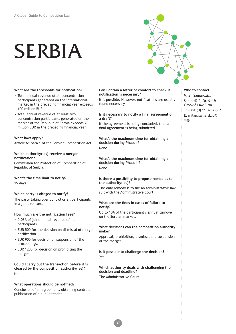# SERBIA



### **What are the thresholds for notifcation?**

- Total annual revenue of all concentration participants generated on the international market in the preceding fnancial year exceeds 100 million EUR.
- Total annual revenue of at least two concentration participants generated on the market of the Republic of Serbia exceeds 20 million EUR in the preceding fnancial year.

### **What laws apply?**

Article 61 para 1 of the Serbian Competition Act.

### **Which authority(ies) receive a merger notifcation?**

Commission for Protection of Competition of Republic of Serbia.

### **What's the time limit to notify?**

15 days.

### **Which party is obliged to notify?**

The party taking over control or all participants in a joint venture.

### **How much are the notifcation fees?**

- 0,03% of joint annual revenue of all participants.
- EUR 500 for the decision on dismissal of merger notifcation.
- EUR 900 for decision on suspension of the proceedings.
- EUR 1200 for decision on prohibiting the merger.

**Could I carry out the transaction before it is cleared by the competition authority(ies)?** No.

### **What operations should be notifed?**

Conclusion of an agreement, obtaining control, publication of a public tender.

### **Can I obtain a letter of comfort to check if notifcation is necessary?**

It is possible. However, notifcations are usually found necessary.

### **Is it necessary to notify a fnal agreement or a draft?**

If the agreement is being concluded, than a fnal agreement is being submitted.

**What's the maximum time for obtaining a decision during Phase I?** None.

**What's the maximum time for obtaining a decision during Phase II?** None.

### **Is there a possibility to propose remedies to the authority(ies)?**

The only remedy is to file an administrative law suit with the Administrative Court.

### **What are the fnes in cases of failure to notify?**

Up to 10% of the participant's annual turnover on the Serbian market.

### **What decisions can the competition authority make?**

Approval, prohibition, dismissal and suspension of the merger.

**Is it possible to challenge the decision?**  Yes.

### **Which authority deals with challenging the decision and deadline?** The Administrative Court.

**Who to contact** Milan Samardžić. Samardžić, Oreški & Grbović Law Firm T: +381 (0) 11 3282 667 E: milan.samardzic@ sog.rs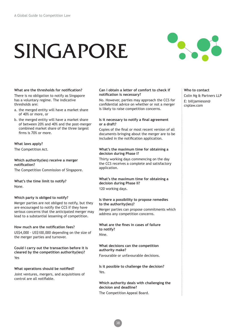# SINGAPORE



### **What are the thresholds for notifcation?**  There is no obligation to notify as Singapore has a voluntary regime. The indicative

thresholds are:

- a. the merged entity will have a market share of 40% or more, or
- b. the merged entity will have a market share of between 20% and 40% and the post-merger combined market share of the three largest frms is 70% or more.

### **What laws apply?**

The Competition Act.

### **Which authority(ies) receive a merger notifcation?** The Competition Commission of Singapore.

**What's the time limit to notify?** None.

### **Which party is obliged to notify?**

Merger parties are not obliged to notify, but they are encouraged to notify the CCS if they have serious concerns that the anticipated merger may lead to a substantial lessening of competition.

### **How much are the notifcation fees?**

US\$4,000 - US\$100,000 depending on the size of the merger parties and turnover.

**Could I carry out the transaction before it is cleared by the competition authority(ies)?** Yes

### **What operations should be notifed?**

Joint ventures, mergers, and acquisitions of control are all notifable.

### **Can I obtain a letter of comfort to check if notifcation is necessary?**

No. However, parties may approach the CCS for confdential advice on whether or not a merger is likely to raise competition concerns.

### **Is it necessary to notify a fnal agreement or a draft?**

Copies of the fnal or most recent version of all documents bringing about the merger are to be included in the notifcation application.

### **What's the maximum time for obtaining a decision during Phase I?**

Thirty working days commencing on the day the CCS receives a complete and satisfactory application.

### **What's the maximum time for obtaining a decision during Phase II?**

120 working days.

### **Is there a possibility to propose remedies to the authority(ies)?**

Merger parties can propose commitments which address any competition concerns.

**What are the fnes in cases of failure to notify?** Nine.

### **What decisions can the competition authority make?**

Favourable or unfavourable decisions.

### **Is it possible to challenge the decision?**  Yes.

38

**Which authority deals with challenging the decision and deadline?** The Competition Appeal Board.

### **Who to contact** Colin Ng & Partners LLP E: billjamieson@ cnplaw.com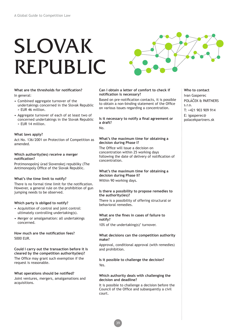# SLOVAK REPUBLIC



### **What are the thresholds for notifcation?** In general:

- Combined aggregate turnover of the undertakings concerned in the Slovak Republic > EUR 46 million.
- Aggregate turnover of each of at least two of concerned undertakings in the Slovak Republic > EUR 14 million.

### **What laws apply?**

Act No. 136/2001 on Protection of Competition as amended.

### **Which authority(ies) receive a merger notifcation?**

Protimonopolný úrad Slovenskej republiky (The Antimonopoly Office of the Slovak Republic.

### **What's the time limit to notify?**

There is no formal time limit for the notifcation. However, a general rule on the prohibition of gun jumping needs to be observed.

### **Which party is obliged to notify?**

- Acquisition of control and joint control: ultimately controlling undertaking(s).
- Merger or amalgamation: all undertakings concerned.

### **How much are the notifcation fees?** 5000 EUR.

### **Could I carry out the transaction before it is cleared by the competition authority(ies)?**

The Office may grant such exemption if the request is reasonable.

### **What operations should be notifed?**

Joint ventures, mergers, amalgamations and acquisitions.

### **Can I obtain a letter of comfort to check if notifcation is necessary?**

Based on pre-notifcation contacts, it is possible to obtain a non-binding statement of the Office on various issues regarding a concentration.

**Is it necessary to notify a fnal agreement or a draft?**

### No.

### **What's the maximum time for obtaining a decision during Phase I?**

The Office will issue a decision on concentration within 25 working days following the date of delivery of notifcation of concentration.

### **What's the maximum time for obtaining a decision during Phase II?**

Within 90 working days.

### **Is there a possibility to propose remedies to the authority(ies)?**

There is a possibility of offering structural or behavioral remedies.

### **What are the fnes in cases of failure to notify?**

10% of the undertaking(s)' turnover.

### **What decisions can the competition authority make?**

Approval, conditional approval (with remedies) and prohibition.

**Is it possible to challenge the decision?**  Yes.

### **Which authority deals with challenging the decision and deadline?**

It is possible to challenge a decision before the Council of the Office and subsequently a civil court.

39

### **Who to contact** Ivan Gasperec POLÁČEK & PARTNERS s.r.o. T: +421 903 909 914 E: igasperec@

polacekpartners.sk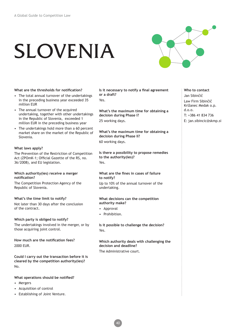# SLOVENIA



**What are the thresholds for notifcation?** 

- The total annual turnover of the undertakings in the preceding business year exceeded 35 million EUR
- The annual turnover of the acquired undertaking, together with other undertakings in the Republic of Slovenia, exceeded 1 million EUR in the preceding business year
- The undertakings hold more than a 60 percent market share on the market of the Republic of Slovenia.

### **What laws apply?**

The Prevention of the Restriction of Competition Act (ZPOmK-1; Official Gazette of the RS, no. 36/2008), and EU legislation.

### **Which authority(ies) receive a merger notifcation?**

The Competition Protection Agency of the Republic of Slovenia.

### **What's the time limit to notify?**

Not later than 30 days after the conclusion of the contract.

### **Which party is obliged to notify?**

The undertakings involved in the merger, or by those acquiring joint control.

**How much are the notifcation fees?** 2000 EUR.

**Could I carry out the transaction before it is cleared by the competition authority(ies)?** No.

### **What operations should be notifed?**

- Mergers
- Acquisition of control
- Establishing of Joint Venture.

**Is it necessary to notify a final agreement or a draft?** Yes.

**What's the maximum time for obtaining a decision during Phase I?**

25 working days.

**What's the maximum time for obtaining a decision during Phase II?**

60 working days.

**Is there a possibility to propose remedies to the authority(ies)?** Yes.

### **What are the fnes in cases of failure to notify?**

Up to 10% of the annual turnover of the undertaking.

### **What decisions can the competition authority make?**

- Approval
- Prohibition.

40

**Is it possible to challenge the decision?**  Yes.

### **Which authority deals with challenging the decision and deadline?** The Administrative court.

### **Who to contact**

- Jan Sibinčič
- Law Firm Sibinčič
- Križanec Medak o.p. d.o.o.
- T: +386 41 834 736
- E: jan.sibincic@skmp.si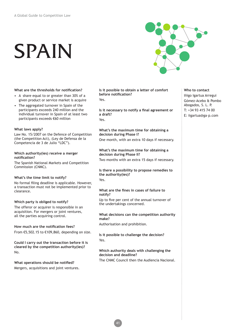# SPAIN



### **What are the thresholds for notifcation?**

- A share equal to or greater than 30% of a given product or service market is acquire
- The aggregated turnover in Spain of the participants exceeds 240 million and the individual turnover in Spain of at least two participants exceeds €60 million

### **What laws apply?**

Law No. 15/2007 on the Defence of Competition (the Competition Act), (Ley de Defensa de la Competencia de 3 de Julio "LDC").

### **Which authority(ies) receive a merger notifcation?**

The Spanish National Markets and Competition Commission (CNMC).

### **What's the time limit to notify?**

No formal fling deadline is applicable. However, a transaction must not be implemented prior to clearance.

### **Which party is obliged to notify?**

The offeror or acquirer is responsible in an acquisition. For mergers or joint ventures, all the parties acquiring control.

### **How much are the notifcation fees?**

From €5,502.15 to €109,860, depending on size.

**Could I carry out the transaction before it is cleared by the competition authority(ies)?** No.

**What operations should be notifed?** Mergers, acquisitions and joint ventures. **Is it possible to obtain a letter of comfort before notifcation?** Yes

**Is it necessary to notify a fnal agreement or a draft?** Yes

### **What's the maximum time for obtaining a decision during Phase I?**

One month, with an extra 10 days if necessary.

### **What's the maximum time for obtaining a decision during Phase II?** Two months with an extra 15 days if necessary.

**Is there a possibility to propose remedies to the authority(ies)?**

Yes.

### **What are the fnes in cases of failure to notify?**

Up to five per cent of the annual turnover of the undertakings concerned.

### **What decisions can the competition authority make?**

Authorisation and prohibition.

**Is it possible to challenge the decision?**  Yes.

### **Which authority deals with challenging the decision and deadline?**

The CNMC Council then the Audiencia Nacional.

**Who to contact** Iñigo Igartua Arregui Gómez-Acebo & Pombo Abogados, S. L. P. T: +34 93 415 74 00 E: iigartua@ga–p.com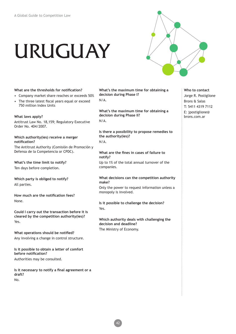# URUGUAY



### **What are the thresholds for notifcation?**

- Company market share reaches or exceeds 50%
- The three latest fiscal years equal or exceed 750 million Index Units

### **What laws apply?**

Antitrust Law No. 18,159; Regulatory Executive Order No. 404/2007.

### **Which authority(ies) receive a merger notifcation?**

The Antitrust Authority (Comisión de Promoción y Defensa de la Competencia or CPDC).

**What's the time limit to notify?** Ten days before completion.

**Which party is obliged to notify?** All parties.

**How much are the notifcation fees?** None.

**Could I carry out the transaction before it is cleared by the competition authority(ies)?** Yes.

**What operations should be notifed?** Any involving a change in control structure.

**Is it possible to obtain a letter of comfort before notifcation?** Authorities may be consulted.

**Is it necessary to notify a fnal agreement or a draft?** No.

**What's the maximum time for obtaining a decision during Phase I?** N/A.

**What's the maximum time for obtaining a decision during Phase II?**

N/A.

**Is there a possibility to propose remedies to the authority(ies)?**

### N/A.

### **What are the fnes in cases of failure to notify?**

Up to 1% of the total annual turnover of the companies.

### **What decisions can the competition authority make?**

Only the power to request information unless a monopoly is involved.

### **Is it possible to challenge the decision?**  Yes.

**Which authority deals with challenging the decision and deadline?** The Ministry of Economy.

**Who to contact** Jorge R. Postiglione Brons & Salas T: 5411 4319 7112 E: jpostiglione@ brons.com.ar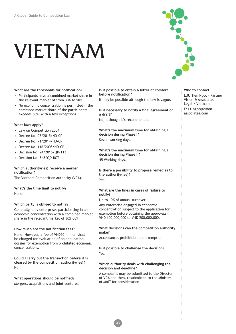# VIETNAM

### **What are the thresholds for notifcation?**

- Participants have a combined market share in the relevant market of from 30% to 50%
- No economic concentration is permitted if the combined market share of the participants exceeds 50%, with a few exceptions

### **What laws apply?**

- Law on Competition 2004
- Decree No. 07/2015/ND-CP
- Decree No. 71/2014/ND-CP
- Decree No. 116/2005/ND-CP
- Decision No. 24/2015/QD-TTg
- Decision No. 848/QD-BCT

### **Which authority(ies) receive a merger notifcation?**

The Vietnam Competition Authority (VCA).

**What's the time limit to notify?** None.

### **Which party is obliged to notify?**

Generally, only enterprises participating in an economic concentration with a combined market share in the relevant market of 30%-50%.

### **How much are the notifcation fees?**

None. However, a fee of VND50 million shall be charged for evaluation of an application dossier for exemption from prohibited economic concentrations.

**Could I carry out the transaction before it is cleared by the competition authority(ies)?** No.

**What operations should be notifed?** Mergers, acquisitions and joint ventures. **Is it possible to obtain a letter of comfort before notifcation?**

It may be possible although the law is vague.

**Is it necessary to notify a fnal agreement or a draft?**

No, although it's recommended.

**What's the maximum time for obtaining a decision during Phase I?** Seven working days.

**What's the maximum time for obtaining a decision during Phase II?** 45 Working days.

**Is there a possibility to propose remedies to the authority(ies)?** Yes.

### **What are the fnes in cases of failure to notify?**

Up to 10% of annual turnover.

Any enterprise engaged in economic concentration subject to the application for exemption before obtaining the approvals – VND 100,000,000 to VND 200,000,000.

### **What decisions can the competition authority make?**

Acceptance, prohibition and exemption.

**Is it possible to challenge the decision?**  Yes.

### **Which authority deals with challenging the decision and deadline?**

A complaint may be submitted to the Director of VCA and then, resubmitted to the Minister of MoIT for consideration.



**Who to contact** LUU Tien Ngoc – Partner Vision & Associates Legal / Vietnam E: Lt.ngoc@visionassociates.com